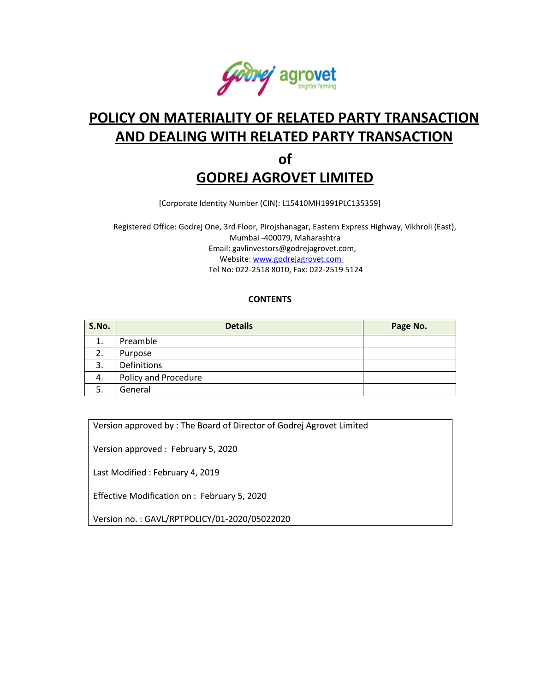

# **POLICY ON MATERIALITY OF RELATED PARTY TRANSACTION AND DEALING WITH RELATED PARTY TRANSACTION of**

# **GODREJ AGROVET LIMITED**

[Corporate Identity Number (CIN): L15410MH1991PLC135359]

Registered Office: Godrej One, 3rd Floor, Pirojshanagar, Eastern Express Highway, Vikhroli (East), Mumbai -400079, Maharashtra Email: [gavlinvestors@godrejagrovet.com,](mailto:gavlinvestors@godrejagrovet.com)  Website: [www.godrejagrovet.com](http://www.godrejagrovet.com/)  Tel No: 022-2518 8010, Fax: 022-2519 5124

# **CONTENTS**

| S.No. | <b>Details</b>       | Page No. |
|-------|----------------------|----------|
| 1.    | Preamble             |          |
| 2.    | Purpose              |          |
| 3.    | Definitions          |          |
| 4.    | Policy and Procedure |          |
| 5.    | General              |          |

Version approved by : The Board of Director of Godrej Agrovet Limited

Version approved : February 5, 2020

Last Modified : February 4, 2019

Effective Modification on : February 5, 2020

Version no. : GAVL/RPTPOLICY/01-2020/05022020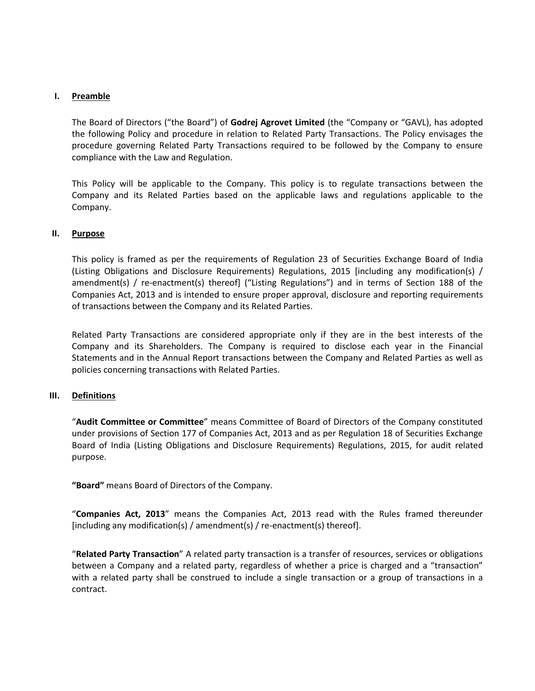# **I. Preamble**

The Board of Directors ("the Board") of **Godrej Agrovet Limited** (the "Company or "GAVL), has adopted the following Policy and procedure in relation to Related Party Transactions. The Policy envisages the procedure governing Related Party Transactions required to be followed by the Company to ensure compliance with the Law and Regulation.

This Policy will be applicable to the Company. This policy is to regulate transactions between the Company and its Related Parties based on the applicable laws and regulations applicable to the Company.

### **II. Purpose**

This policy is framed as per the requirements of Regulation 23 of Securities Exchange Board of India (Listing Obligations and Disclosure Requirements) Regulations, 2015 [including any modification(s) / amendment(s) / re-enactment(s) thereof] ("Listing Regulations") and in terms of Section 188 of the Companies Act, 2013 and is intended to ensure proper approval, disclosure and reporting requirements of transactions between the Company and its Related Parties.

Related Party Transactions are considered appropriate only if they are in the best interests of the Company and its Shareholders. The Company is required to disclose each year in the Financial Statements and in the Annual Report transactions between the Company and Related Parties as well as policies concerning transactions with Related Parties.

# **III. Definitions**

"**Audit Committee or Committee**" means Committee of Board of Directors of the Company constituted under provisions of Section 177 of Companies Act, 2013 and as per Regulation 18 of Securities Exchange Board of India (Listing Obligations and Disclosure Requirements) Regulations, 2015, for audit related purpose.

**"Board"** means Board of Directors of the Company.

"**Companies Act, 2013**" means the Companies Act, 2013 read with the Rules framed thereunder [including any modification(s) / amendment(s) / re-enactment(s) thereof].

"**Related Party Transaction**" A related party transaction is a transfer of resources, services or obligations between a Company and a related party, regardless of whether a price is charged and a "transaction" with a related party shall be construed to include a single transaction or a group of transactions in a contract.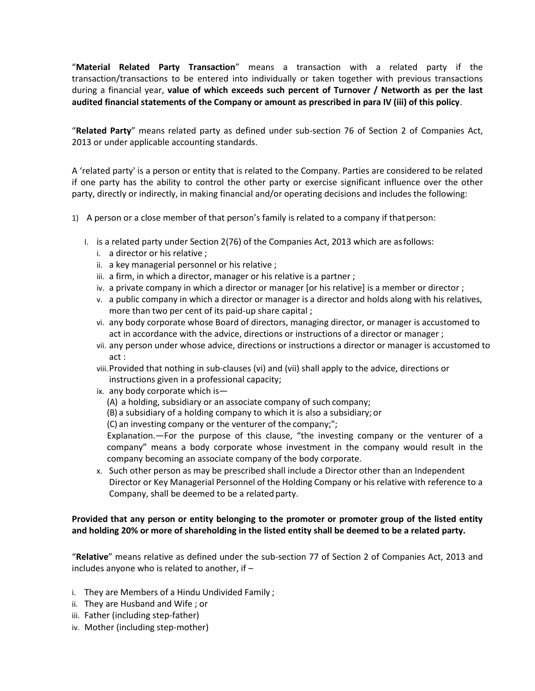"**Material Related Party Transaction**" means a transaction with a related party if the transaction/transactions to be entered into individually or taken together with previous transactions during a financial year, **value of which exceeds such percent of Turnover / Networth as per the last audited financial statements of the Company or amount as prescribed in para IV (iii) of this policy**.

"**Related Party**" means related party as defined under sub-section 76 of Section 2 of Companies Act, 2013 or under applicable accounting standards.

A 'related party' is a person or entity that is related to the Company. Parties are considered to be related if one party has the ability to control the other party or exercise significant influence over the other party, directly or indirectly, in making financial and/or operating decisions and includes the following:

- 1) A person or a close member of that person's family is related to a company if thatperson:
	- I. is a related party under Section 2(76) of the Companies Act, 2013 which are asfollows:
		- i. a director or his relative ;
		- ii. a key managerial personnel or his relative ;
		- iii. a firm, in which a director, manager or his relative is a partner;
		- iv. a private company in which a director or manager [or his relative] is a member or director ;
		- v. a public company in which a director or manager is a director and holds along with his relatives, more than two per cent of its paid-up share capital ;
		- vi. any body corporate whose Board of directors, managing director, or manager is accustomed to act in accordance with the advice, directions or instructions of a director or manager ;
		- vii. any person under whose advice, directions or instructions a director or manager is accustomed to act :
		- viii.Provided that nothing in sub-clauses (vi) and (vii) shall apply to the advice, directions or instructions given in a professional capacity;
		- ix. any body corporate which is—
			- (A) a holding, subsidiary or an associate company of such company;
			- (B) a subsidiary of a holding company to which it is also a subsidiary; or
			- (C) an investing company or the venturer of the company;";

Explanation.—For the purpose of this clause, "the investing company or the venturer of a company" means a body corporate whose investment in the company would result in the company becoming an associate company of the body corporate.

x. Such other person as may be prescribed shall include a Director other than an Independent Director or Key Managerial Personnel of the Holding Company or his relative with reference to a Company, shall be deemed to be a related party.

# **Provided that any person or entity belonging to the promoter or promoter group of the listed entity and holding 20% or more of shareholding in the listed entity shall be deemed to be a related party.**

"**Relative**" means relative as defined under the sub-section 77 of Section 2 of Companies Act, 2013 and includes anyone who is related to another, if –

- i. They are Members of a Hindu Undivided Family ;
- ii. They are Husband and Wife ; or
- iii. Father (including step-father)
- iv. Mother (including step-mother)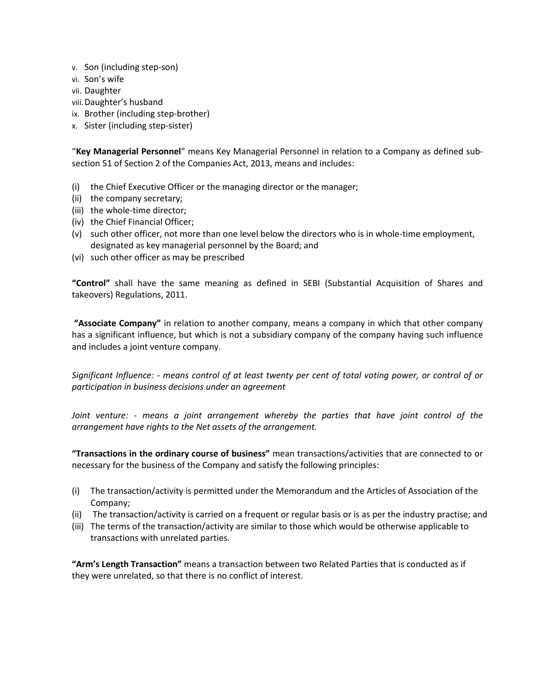- v. Son (including step-son)
- vi. Son's wife
- vii. Daughter
- viii.Daughter's husband
- ix. Brother (including step-brother)
- x. Sister (including step-sister)

"**Key Managerial Personnel**" means Key Managerial Personnel in relation to a Company as defined subsection 51 of Section 2 of the Companies Act, 2013, means and includes:

- (i) the Chief Executive Officer or the managing director or the manager;
- (ii) the company secretary;
- (iii) the whole-time director;
- (iv) the Chief Financial Officer;
- (v) such other officer, not more than one level below the directors who is in whole-time employment, designated as key managerial personnel by the Board; and
- (vi) such other officer as may be prescribed

**"Control"** shall have the same meaning as defined in SEBI (Substantial Acquisition of Shares and takeovers) Regulations, 2011.

**"Associate Company"** in relation to another company, means a company in which that other company has a significant influence, but which is not a subsidiary company of the company having such influence and includes a joint venture company.

*Significant Influence: - means control of at least twenty per cent of total voting power, or control of or participation in business decisions under an agreement*

*Joint venture: - means a joint arrangement whereby the parties that have joint control of the arrangement have rights to the Net assets of the arrangement.*

**"Transactions in the ordinary course of business"** mean transactions/activities that are connected to or necessary for the business of the Company and satisfy the following principles:

- (i) The transaction/activity is permitted under the Memorandum and the Articles of Association of the Company;
- (ii) The transaction/activity is carried on a frequent or regular basis or is as per the industry practise; and
- (iii) The terms of the transaction/activity are similar to those which would be otherwise applicable to transactions with unrelated parties.

**"Arm's Length Transaction"** means a transaction between two Related Parties that is conducted as if they were unrelated, so that there is no conflict of interest.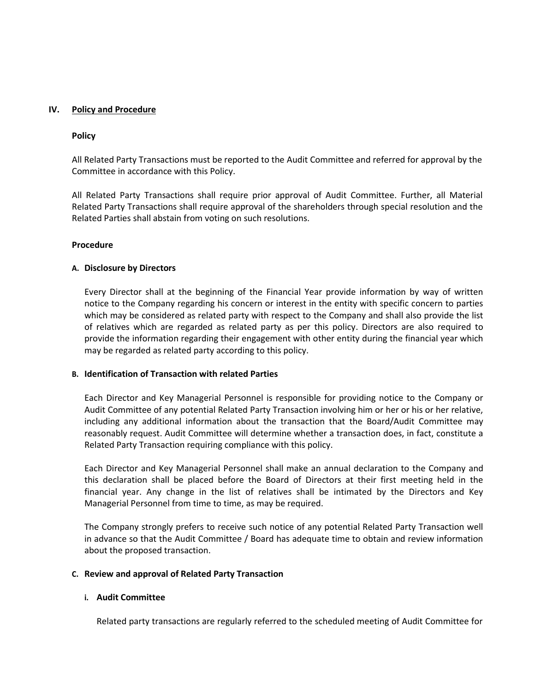### **IV. Policy and Procedure**

#### **Policy**

All Related Party Transactions must be reported to the Audit Committee and referred for approval by the Committee in accordance with this Policy.

All Related Party Transactions shall require prior approval of Audit Committee. Further, all Material Related Party Transactions shall require approval of the shareholders through special resolution and the Related Parties shall abstain from voting on such resolutions.

#### **Procedure**

#### **A. Disclosure by Directors**

Every Director shall at the beginning of the Financial Year provide information by way of written notice to the Company regarding his concern or interest in the entity with specific concern to parties which may be considered as related party with respect to the Company and shall also provide the list of relatives which are regarded as related party as per this policy. Directors are also required to provide the information regarding their engagement with other entity during the financial year which may be regarded as related party according to this policy.

### **B. Identification of Transaction with related Parties**

Each Director and Key Managerial Personnel is responsible for providing notice to the Company or Audit Committee of any potential Related Party Transaction involving him or her or his or her relative, including any additional information about the transaction that the Board/Audit Committee may reasonably request. Audit Committee will determine whether a transaction does, in fact, constitute a Related Party Transaction requiring compliance with this policy.

Each Director and Key Managerial Personnel shall make an annual declaration to the Company and this declaration shall be placed before the Board of Directors at their first meeting held in the financial year. Any change in the list of relatives shall be intimated by the Directors and Key Managerial Personnel from time to time, as may be required.

The Company strongly prefers to receive such notice of any potential Related Party Transaction well in advance so that the Audit Committee / Board has adequate time to obtain and review information about the proposed transaction.

#### **C. Review and approval of Related Party Transaction**

#### **i. Audit Committee**

Related party transactions are regularly referred to the scheduled meeting of Audit Committee for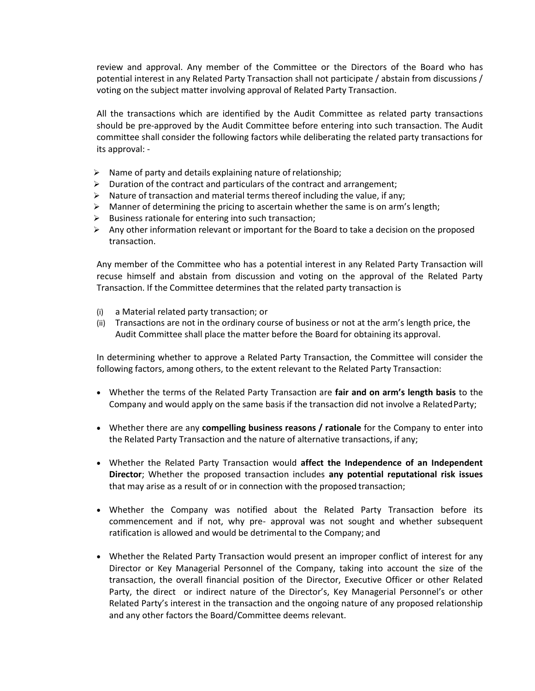review and approval. Any member of the Committee or the Directors of the Board who has potential interest in any Related Party Transaction shall not participate / abstain from discussions / voting on the subject matter involving approval of Related Party Transaction.

All the transactions which are identified by the Audit Committee as related party transactions should be pre-approved by the Audit Committee before entering into such transaction. The Audit committee shall consider the following factors while deliberating the related party transactions for its approval: -

- $\triangleright$  Name of party and details explaining nature of relationship;
- $\triangleright$  Duration of the contract and particulars of the contract and arrangement;
- $\triangleright$  Nature of transaction and material terms thereof including the value, if any;
- $\triangleright$  Manner of determining the pricing to ascertain whether the same is on arm's length;
- $\triangleright$  Business rationale for entering into such transaction;
- $\triangleright$  Any other information relevant or important for the Board to take a decision on the proposed transaction.

Any member of the Committee who has a potential interest in any Related Party Transaction will recuse himself and abstain from discussion and voting on the approval of the Related Party Transaction. If the Committee determines that the related party transaction is

- (i) a Material related party transaction; or
- (ii) Transactions are not in the ordinary course of business or not at the arm's length price, the Audit Committee shall place the matter before the Board for obtaining its approval.

In determining whether to approve a Related Party Transaction, the Committee will consider the following factors, among others, to the extent relevant to the Related Party Transaction:

- Whether the terms of the Related Party Transaction are **fair and on arm's length basis** to the Company and would apply on the same basis if the transaction did not involve a RelatedParty;
- Whether there are any **compelling business reasons / rationale** for the Company to enter into the Related Party Transaction and the nature of alternative transactions, if any;
- Whether the Related Party Transaction would **affect the Independence of an Independent Director**; Whether the proposed transaction includes **any potential reputational risk issues**  that may arise as a result of or in connection with the proposed transaction;
- Whether the Company was notified about the Related Party Transaction before its commencement and if not, why pre- approval was not sought and whether subsequent ratification is allowed and would be detrimental to the Company; and
- Whether the Related Party Transaction would present an improper conflict of interest for any Director or Key Managerial Personnel of the Company, taking into account the size of the transaction, the overall financial position of the Director, Executive Officer or other Related Party, the direct or indirect nature of the Director's, Key Managerial Personnel's or other Related Party's interest in the transaction and the ongoing nature of any proposed relationship and any other factors the Board/Committee deems relevant.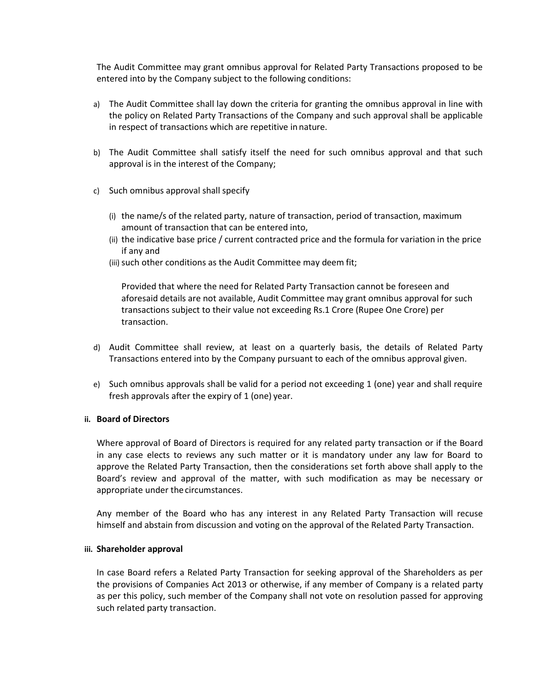The Audit Committee may grant omnibus approval for Related Party Transactions proposed to be entered into by the Company subject to the following conditions:

- a) The Audit Committee shall lay down the criteria for granting the omnibus approval in line with the policy on Related Party Transactions of the Company and such approval shall be applicable in respect of transactions which are repetitive innature.
- b) The Audit Committee shall satisfy itself the need for such omnibus approval and that such approval is in the interest of the Company;
- c) Such omnibus approval shall specify
	- (i) the name/s of the related party, nature of transaction, period of transaction, maximum amount of transaction that can be entered into,
	- (ii) the indicative base price / current contracted price and the formula for variation in the price if any and
	- (iii) such other conditions as the Audit Committee may deem fit;

Provided that where the need for Related Party Transaction cannot be foreseen and aforesaid details are not available, Audit Committee may grant omnibus approval for such transactions subject to their value not exceeding Rs.1 Crore (Rupee One Crore) per transaction.

- d) Audit Committee shall review, at least on a quarterly basis, the details of Related Party Transactions entered into by the Company pursuant to each of the omnibus approval given.
- e) Such omnibus approvals shall be valid for a period not exceeding 1 (one) year and shall require fresh approvals after the expiry of 1 (one) year.

#### **ii. Board of Directors**

Where approval of Board of Directors is required for any related party transaction or if the Board in any case elects to reviews any such matter or it is mandatory under any law for Board to approve the Related Party Transaction, then the considerations set forth above shall apply to the Board's review and approval of the matter, with such modification as may be necessary or appropriate under thecircumstances.

Any member of the Board who has any interest in any Related Party Transaction will recuse himself and abstain from discussion and voting on the approval of the Related Party Transaction.

#### **iii. Shareholder approval**

In case Board refers a Related Party Transaction for seeking approval of the Shareholders as per the provisions of Companies Act 2013 or otherwise, if any member of Company is a related party as per this policy, such member of the Company shall not vote on resolution passed for approving such related party transaction.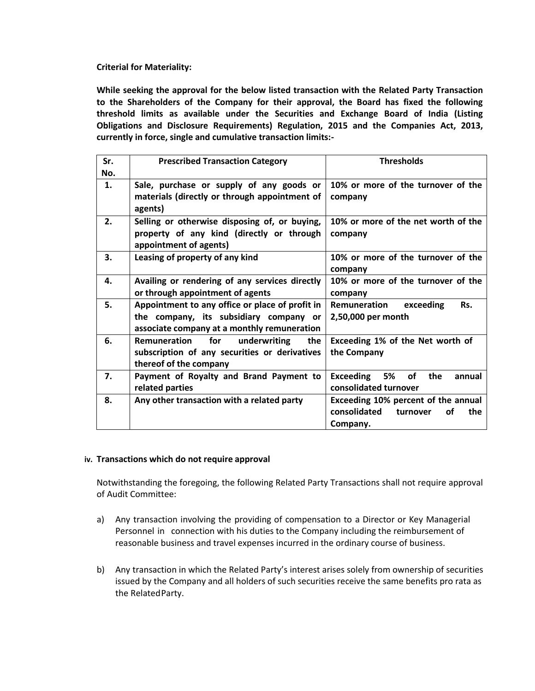# **Criterial for Materiality:**

**While seeking the approval for the below listed transaction with the Related Party Transaction to the Shareholders of the Company for their approval, the Board has fixed the following threshold limits as available under the Securities and Exchange Board of India (Listing Obligations and Disclosure Requirements) Regulation, 2015 and the Companies Act, 2013, currently in force, single and cumulative transaction limits:-**

| Sr.<br>No. | <b>Prescribed Transaction Category</b>                                                                                                   | <b>Thresholds</b>                                                                        |
|------------|------------------------------------------------------------------------------------------------------------------------------------------|------------------------------------------------------------------------------------------|
| 1.         | Sale, purchase or supply of any goods or<br>materials (directly or through appointment of<br>agents)                                     | 10% or more of the turnover of the<br>company                                            |
| 2.         | Selling or otherwise disposing of, or buying,<br>property of any kind (directly or through<br>appointment of agents)                     | 10% or more of the net worth of the<br>company                                           |
| 3.         | Leasing of property of any kind                                                                                                          | 10% or more of the turnover of the<br>company                                            |
| 4.         | Availing or rendering of any services directly<br>or through appointment of agents                                                       | 10% or more of the turnover of the<br>company                                            |
| 5.         | Appointment to any office or place of profit in<br>the company, its subsidiary company or<br>associate company at a monthly remuneration | Remuneration<br>Rs.<br>exceeding<br>2,50,000 per month                                   |
| 6.         | <b>Remuneration</b><br>for<br>underwriting<br>the<br>subscription of any securities or derivatives<br>thereof of the company             | Exceeding 1% of the Net worth of<br>the Company                                          |
| 7.         | Payment of Royalty and Brand Payment to<br>related parties                                                                               | <b>Exceeding</b><br><b>5%</b><br><b>of</b><br>the<br>annual<br>consolidated turnover     |
| 8.         | Any other transaction with a related party                                                                                               | Exceeding 10% percent of the annual<br>consolidated<br>οf<br>the<br>turnover<br>Company. |

#### **iv. Transactions which do not require approval**

Notwithstanding the foregoing, the following Related Party Transactions shall not require approval of Audit Committee:

- a) Any transaction involving the providing of compensation to a Director or Key Managerial Personnel in connection with his duties to the Company including the reimbursement of reasonable business and travel expenses incurred in the ordinary course of business.
- b) Any transaction in which the Related Party's interest arises solely from ownership of securities issued by the Company and all holders of such securities receive the same benefits pro rata as the RelatedParty.